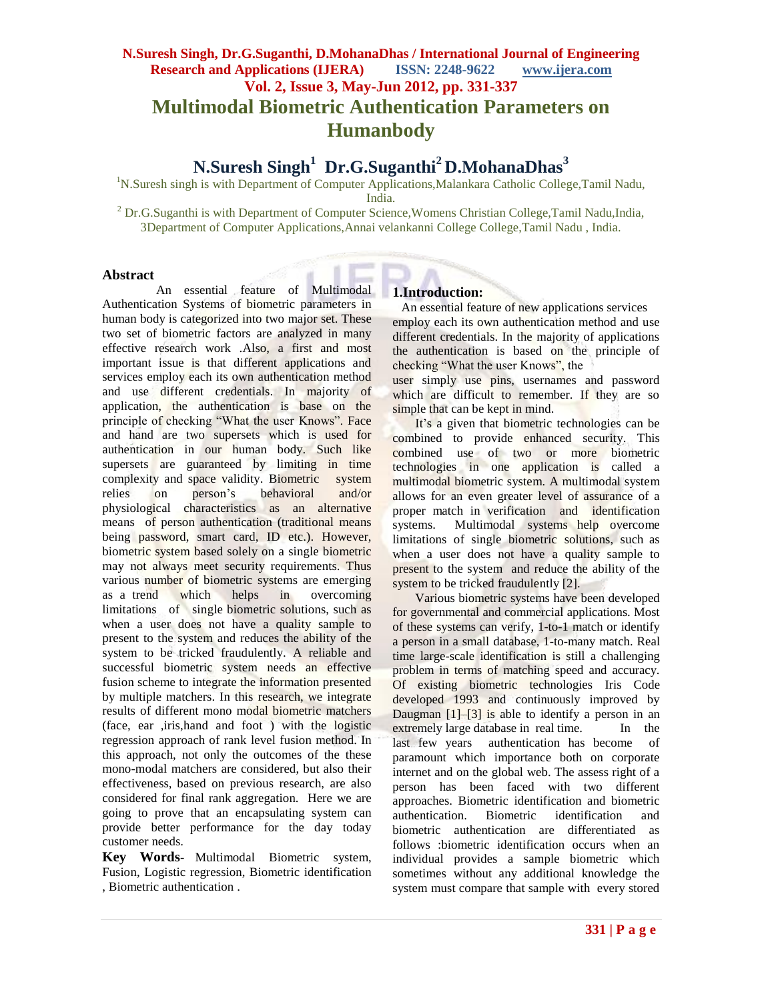## **N.Suresh Singh, Dr.G.Suganthi, D.MohanaDhas / International Journal of Engineering Research and Applications (IJERA) ISSN: 2248-9622 www.ijera.com Vol. 2, Issue 3, May-Jun 2012, pp. 331-337 Multimodal Biometric Authentication Parameters on Humanbody**

## **N.Suresh Singh<sup>1</sup> Dr.G.Suganthi<sup>2</sup> D.MohanaDhas<sup>3</sup>**

<sup>1</sup>N.Suresh singh is with Department of Computer Applications, Malankara Catholic College, Tamil Nadu, India.

 $2^{2}$  Dr.G.Suganthi is with Department of Computer Science, Womens Christian College, Tamil Nadu, India, 3Department of Computer Applications,Annai velankanni College College,Tamil Nadu , India.

## **Abstract**

 An essential feature of Multimodal Authentication Systems of biometric parameters in human body is categorized into two major set. These two set of biometric factors are analyzed in many effective research work .Also, a first and most important issue is that different applications and services employ each its own authentication method and use different credentials. In majority of application, the authentication is base on the principle of checking "What the user Knows". Face and hand are two supersets which is used for authentication in our human body. Such like supersets are guaranteed by limiting in time complexity and space validity. Biometric system relies on person"s behavioral and/or physiological characteristics as an alternative means of person authentication (traditional means being password, smart card, ID etc.). However, biometric system based solely on a single biometric may not always meet security requirements. Thus various number of biometric systems are emerging as a trend which helps in overcoming limitations of single biometric solutions, such as when a user does not have a quality sample to present to the system and reduces the ability of the system to be tricked fraudulently. A reliable and successful biometric system needs an effective fusion scheme to integrate the information presented by multiple matchers. In this research, we integrate results of different mono modal biometric matchers (face, ear ,iris,hand and foot ) with the logistic regression approach of rank level fusion method. In this approach, not only the outcomes of the these mono-modal matchers are considered, but also their effectiveness, based on previous research, are also considered for final rank aggregation. Here we are going to prove that an encapsulating system can provide better performance for the day today customer needs.

**Key Words**- Multimodal Biometric system, Fusion, Logistic regression, Biometric identification , Biometric authentication .

## **1.Introduction:**

An essential feature of new applications services employ each its own authentication method and use different credentials. In the majority of applications the authentication is based on the principle of checking "What the user Knows", the

user simply use pins, usernames and password which are difficult to remember. If they are so simple that can be kept in mind.

It's a given that biometric technologies can be combined to provide enhanced security. This combined use of two or more biometric technologies in one application is called a multimodal biometric system. A multimodal system allows for an even greater level of assurance of a proper match in verification and identification systems. Multimodal systems help overcome limitations of single biometric solutions, such as when a user does not have a quality sample to present to the system and reduce the ability of the system to be tricked fraudulently [2].

Various biometric systems have been developed for governmental and commercial applications. Most of these systems can verify, 1-to-1 match or identify a person in a small database, 1-to-many match. Real time large-scale identification is still a challenging problem in terms of matching speed and accuracy. Of existing biometric technologies Iris Code developed 1993 and continuously improved by Daugman [1]–[3] is able to identify a person in an extremely large database in real time. In the last few years authentication has become of paramount which importance both on corporate internet and on the global web. The assess right of a person has been faced with two different approaches. Biometric identification and biometric authentication. Biometric identification and biometric authentication are differentiated as follows :biometric identification occurs when an individual provides a sample biometric which sometimes without any additional knowledge the system must compare that sample with every stored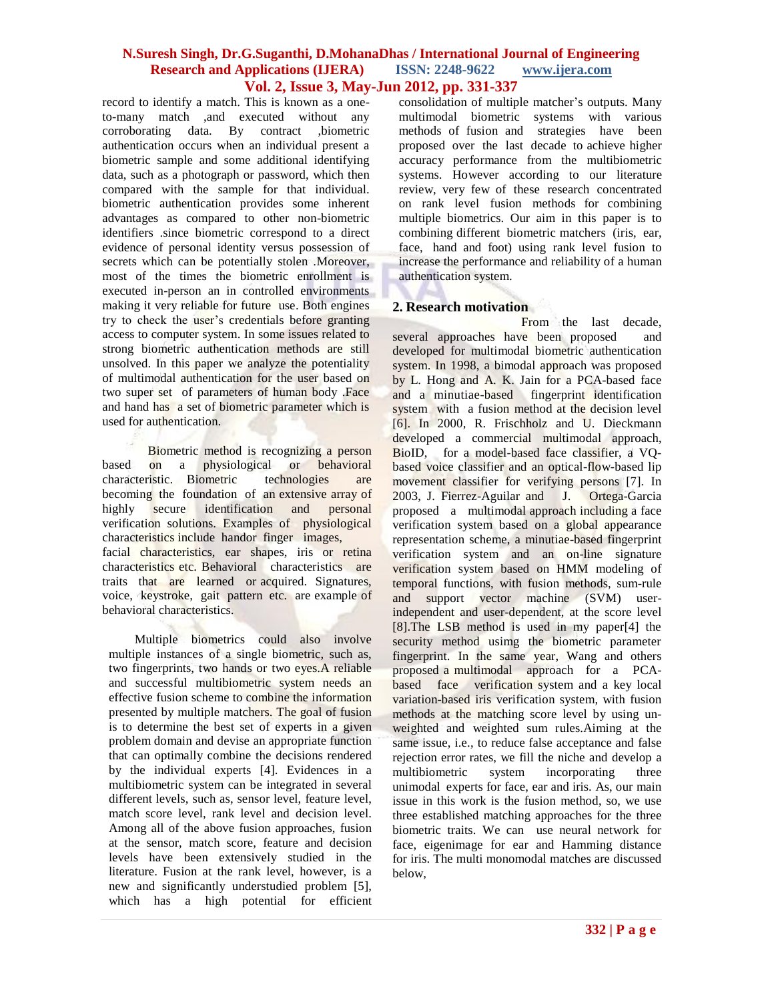record to identify a match. This is known as a oneto-many match ,and executed without any corroborating data. By contract ,biometric authentication occurs when an individual present a biometric sample and some additional identifying data, such as a photograph or password, which then compared with the sample for that individual. biometric authentication provides some inherent advantages as compared to other non-biometric identifiers .since biometric correspond to a direct evidence of personal identity versus possession of secrets which can be potentially stolen .Moreover, most of the times the biometric enrollment is executed in-person an in controlled environments making it very reliable for future use. Both engines try to check the user"s credentials before granting access to computer system. In some issues related to strong biometric authentication methods are still unsolved. In this paper we analyze the potentiality of multimodal authentication for the user based on two super set of parameters of human body .Face and hand has a set of biometric parameter which is used for authentication.

Biometric method is recognizing a person based on a physiological or behavioral characteristic. Biometric technologies are becoming the foundation of an extensive array of highly secure identification and personal verification solutions. Examples of physiological characteristics include handor finger images, facial characteristics, ear shapes, iris or retina characteristics etc. Behavioral characteristics are traits that are learned or acquired. Signatures, voice, keystroke, gait pattern etc. are example of behavioral characteristics.

Multiple biometrics could also involve multiple instances of a single biometric, such as, two fingerprints, two hands or two eyes.A reliable and successful multibiometric system needs an effective fusion scheme to combine the information presented by multiple matchers. The goal of fusion is to determine the best set of experts in a given problem domain and devise an appropriate function that can optimally combine the decisions rendered by the individual experts [4]. Evidences in a multibiometric system can be integrated in several different levels, such as, sensor level, feature level, match score level, rank level and decision level. Among all of the above fusion approaches, fusion at the sensor, match score, feature and decision levels have been extensively studied in the literature. Fusion at the rank level, however, is a new and significantly understudied problem [5], which has a high potential for efficient consolidation of multiple matcher"s outputs. Many multimodal biometric systems with various methods of fusion and strategies have been proposed over the last decade to achieve higher accuracy performance from the multibiometric systems. However according to our literature review, very few of these research concentrated on rank level fusion methods for combining multiple biometrics. Our aim in this paper is to combining different biometric matchers (iris, ear, face, hand and foot) using rank level fusion to increase the performance and reliability of a human authentication system.

## **2. Research motivation**

 From the last decade, several approaches have been proposed and developed for multimodal biometric authentication system. In 1998, a bimodal approach was proposed by L. Hong and A. K. Jain for a PCA-based face and a minutiae-based fingerprint identification system with a fusion method at the decision level [6]. In 2000, R. Frischholz and U. Dieckmann developed a commercial multimodal approach, BioID, for a model-based face classifier, a VQbased voice classifier and an optical-flow-based lip movement classifier for verifying persons [7]. In 2003, J. Fierrez-Aguilar and J. Ortega-Garcia proposed a multimodal approach including a face verification system based on a global appearance representation scheme, a minutiae-based fingerprint verification system and an on-line signature verification system based on HMM modeling of temporal functions, with fusion methods, sum-rule and support vector machine (SVM) userindependent and user-dependent, at the score level [8].The LSB method is used in my paper[4] the security method usimg the biometric parameter fingerprint. In the same year, Wang and others proposed a multimodal approach for a PCAbased face verification system and a key local variation-based iris verification system, with fusion methods at the matching score level by using unweighted and weighted sum rules.Aiming at the same issue, i.e., to reduce false acceptance and false rejection error rates, we fill the niche and develop a<br>multibiometric system incorporating three multibiometric system incorporating three unimodal experts for face, ear and iris. As, our main issue in this work is the fusion method, so, we use three established matching approaches for the three biometric traits. We can use neural network for face, eigenimage for ear and Hamming distance for iris. The multi monomodal matches are discussed below,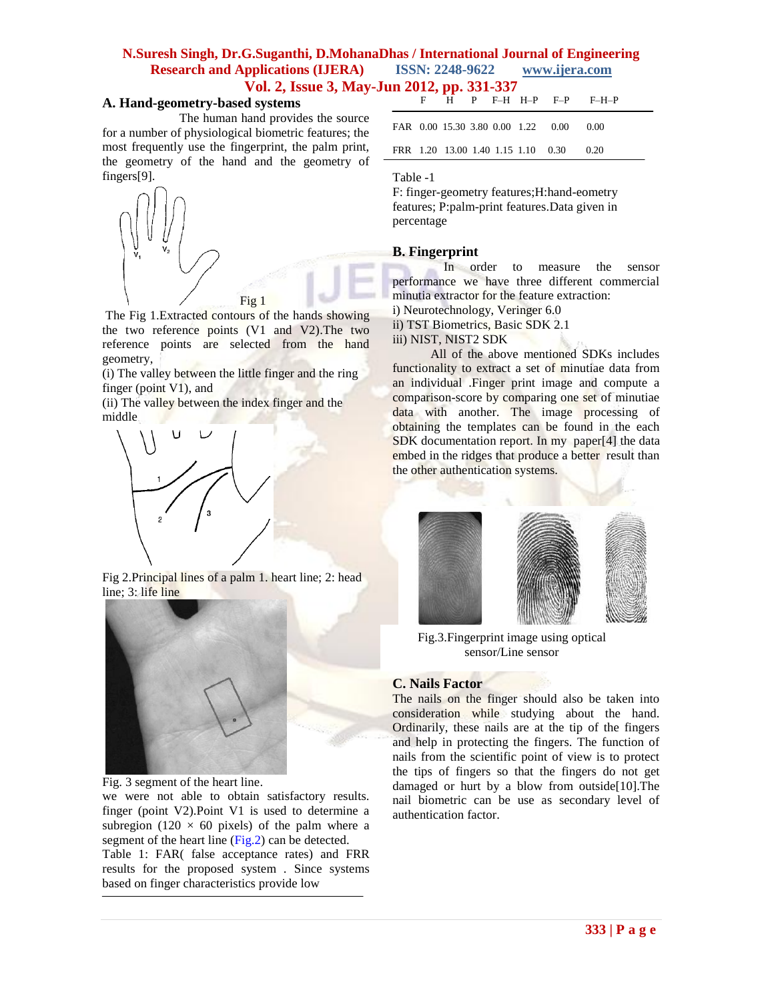## **A. Hand-geometry-based systems**

 The human hand provides the source for a number of physiological biometric features; the most frequently use the fingerprint, the palm print, the geometry of the hand and the geometry of fingers[9].



The Fig 1.Extracted contours of the hands showing the two reference points (V1 and V2).The two reference points are selected from the hand geometry,

(i) The valley between the little finger and the ring finger (point V1), and

(ii) The valley between the index finger and the middle



Fig 2.Principal lines of a palm 1. heart line; 2: head line; 3: life line



Fig. 3 segment of the heart line.

we were not able to obtain satisfactory results. finger (point V2).Point V1 is used to determine a subregion (120  $\times$  60 pixels) of the palm where a segment of the heart line (Fig.2) can be detected.

Table 1: FAR( false acceptance rates) and FRR results for the proposed system . Since systems based on finger characteristics provide low

| --- - - - - , <b>.</b> |  |  |                                         | F H P F-H H-P F-P F-H-P |
|------------------------|--|--|-----------------------------------------|-------------------------|
|                        |  |  | FAR 0.00 15.30 3.80 0.00 1.22 0.00 0.00 |                         |
|                        |  |  | FRR 1.20 13.00 1.40 1.15 1.10 0.30 0.20 |                         |

Table -1

F: finger-geometry features;H:hand-eometry features; P:palm-print features.Data given in percentage

## **B. Fingerprint**

In order to measure the sensor performance we have three different commercial minutia extractor for the feature extraction:

i) Neurotechnology, Veringer 6.0

ii) TST Biometrics, Basic SDK 2.1

iii) NIST, NIST2 SDK

 All of the above mentioned SDKs includes functionality to extract a set of minutiae data from an individual .Finger print image and compute a comparison-score by comparing one set of minutiae data with another. The image processing of obtaining the templates can be found in the each SDK documentation report. In my paper[4] the data embed in the ridges that produce a better result than the other authentication systems.



Fig.3.Fingerprint image using optical sensor/Line sensor

## **C. Nails Factor**

The nails on the finger should also be taken into consideration while studying about the hand. Ordinarily, these nails are at the tip of the fingers and help in protecting the fingers. The function of nails from the scientific point of view is to protect the tips of fingers so that the fingers do not get damaged or hurt by a blow from outside[10].The nail biometric can be use as secondary level of authentication factor.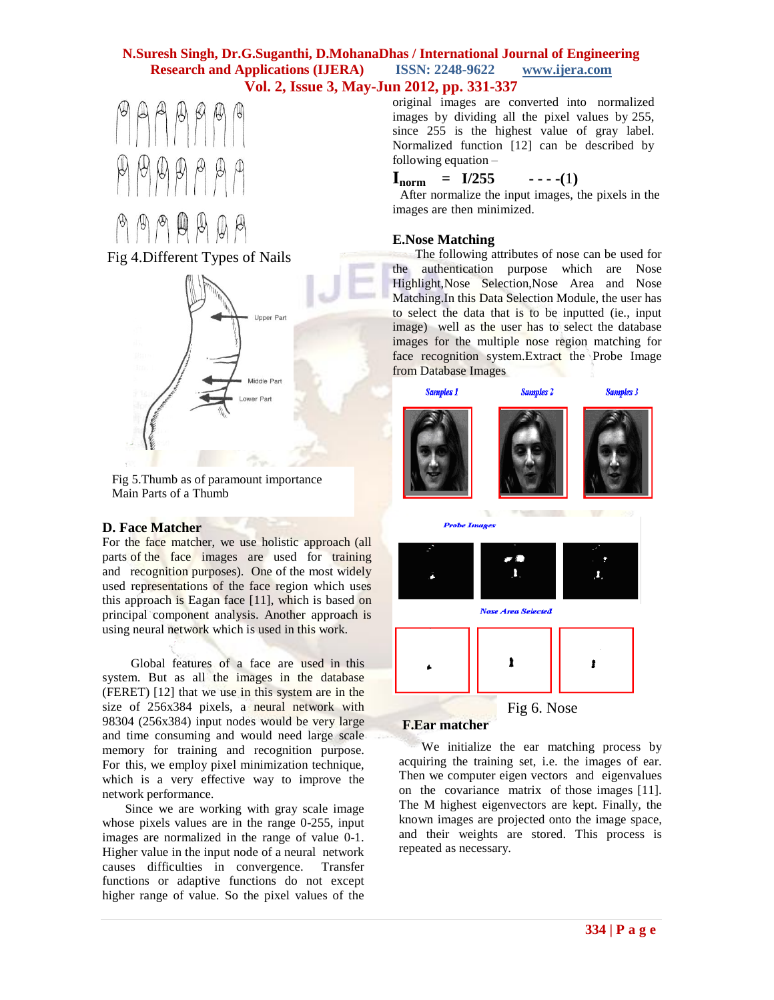

# 

## Fig 4.Different Types of Nails



Fig 5.Thumb as of paramount importance Main Parts of a Thumb

## **D. Face Matcher**

For the face matcher, we use holistic approach (all parts of the face images are used for training and recognition purposes). One of the most widely used representations of the face region which uses this approach is Eagan face [11], which is based on principal component analysis. Another approach is using neural network which is used in this work.

Global features of a face are used in this system. But as all the images in the database (FERET) [12] that we use in this system are in the size of 256x384 pixels, a neural network with 98304 (256x384) input nodes would be very large and time consuming and would need large scale memory for training and recognition purpose. For this, we employ pixel minimization technique, which is a very effective way to improve the network performance.

Since we are working with gray scale image whose pixels values are in the range 0-255, input images are normalized in the range of value 0-1. Higher value in the input node of a neural network causes difficulties in convergence. Transfer functions or adaptive functions do not except higher range of value. So the pixel values of the original images are converted into normalized images by dividing all the pixel values by 255, since 255 is the highest value of gray label. Normalized function [12] can be described by following equation –

## $\mathbf{I}_{\text{norm}} = \mathbf{I}/255$  **- - - -** (1)

 After normalize the input images, the pixels in the images are then minimized.

## **E.Nose Matching**

The following attributes of nose can be used for the authentication purpose which are Nose Highlight,Nose Selection,Nose Area and Nose Matching.In this Data Selection Module, the user has to select the data that is to be inputted (ie., input image) well as the user has to select the database images for the multiple nose region matching for face recognition system.Extract the Probe Image from Database Images





**Nose Area Selected** 



## **F.Ear matcher**

We initialize the ear matching process by acquiring the training set, i.e. the images of ear. Then we computer eigen vectors and eigenvalues on the covariance matrix of those images [11]. The M highest eigenvectors are kept. Finally, the known images are projected onto the image space, and their weights are stored. This process is repeated as necessary.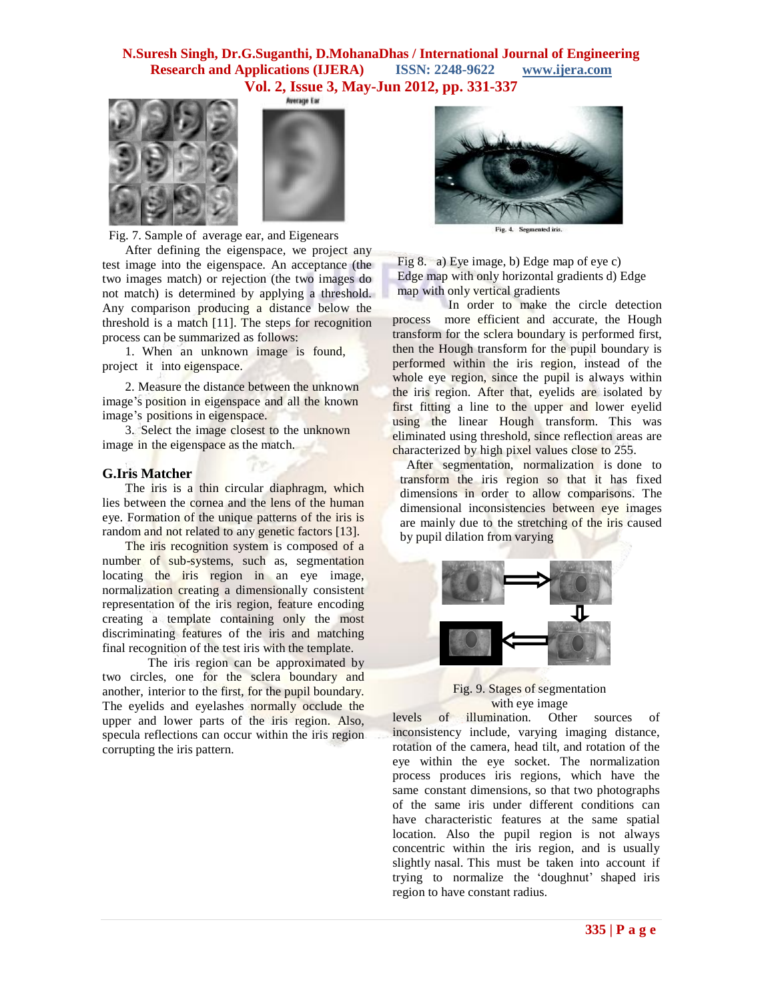



#### Fig. 7. Sample of average ear, and Eigenears

After defining the eigenspace, we project any test image into the eigenspace. An acceptance (the two images match) or rejection (the two images do not match) is determined by applying a threshold. Any comparison producing a distance below the threshold is a match [11]. The steps for recognition process can be summarized as follows:

1. When an unknown image is found, project it into eigenspace.

2. Measure the distance between the unknown image's position in eigenspace and all the known image's positions in eigenspace.

3. Select the image closest to the unknown image in the eigenspace as the match.

### **G.Iris Matcher**

The iris is a thin circular diaphragm, which lies between the cornea and the lens of the human eye. Formation of the unique patterns of the iris is random and not related to any genetic factors [13].

The iris recognition system is composed of a number of sub-systems, such as, segmentation locating the iris region in an eye image, normalization creating a dimensionally consistent representation of the iris region, feature encoding creating a template containing only the most discriminating features of the iris and matching final recognition of the test iris with the template.

The iris region can be approximated by two circles, one for the sclera boundary and another, interior to the first, for the pupil boundary. The eyelids and eyelashes normally occlude the upper and lower parts of the iris region. Also, specula reflections can occur within the iris region corrupting the iris pattern.



Fig 8. a) Eye image, b) Edge map of eye c) Edge map with only horizontal gradients d) Edge map with only vertical gradients

 In order to make the circle detection process more efficient and accurate, the Hough transform for the sclera boundary is performed first, then the Hough transform for the pupil boundary is performed within the iris region, instead of the whole eye region, since the pupil is always within the iris region. After that, eyelids are isolated by first fitting a line to the upper and lower eyelid using the linear Hough transform. This was eliminated using threshold, since reflection areas are characterized by high pixel values close to 255.

After segmentation, normalization is done to transform the iris region so that it has fixed dimensions in order to allow comparisons. The dimensional inconsistencies between eye images are mainly due to the stretching of the iris caused by pupil dilation from varying



Fig. 9. Stages of segmentation with eye image

levels of illumination. Other sources of inconsistency include, varying imaging distance, rotation of the camera, head tilt, and rotation of the eye within the eye socket. The normalization process produces iris regions, which have the same constant dimensions, so that two photographs of the same iris under different conditions can have characteristic features at the same spatial location. Also the pupil region is not always concentric within the iris region, and is usually slightly nasal. This must be taken into account if trying to normalize the "doughnut" shaped iris region to have constant radius.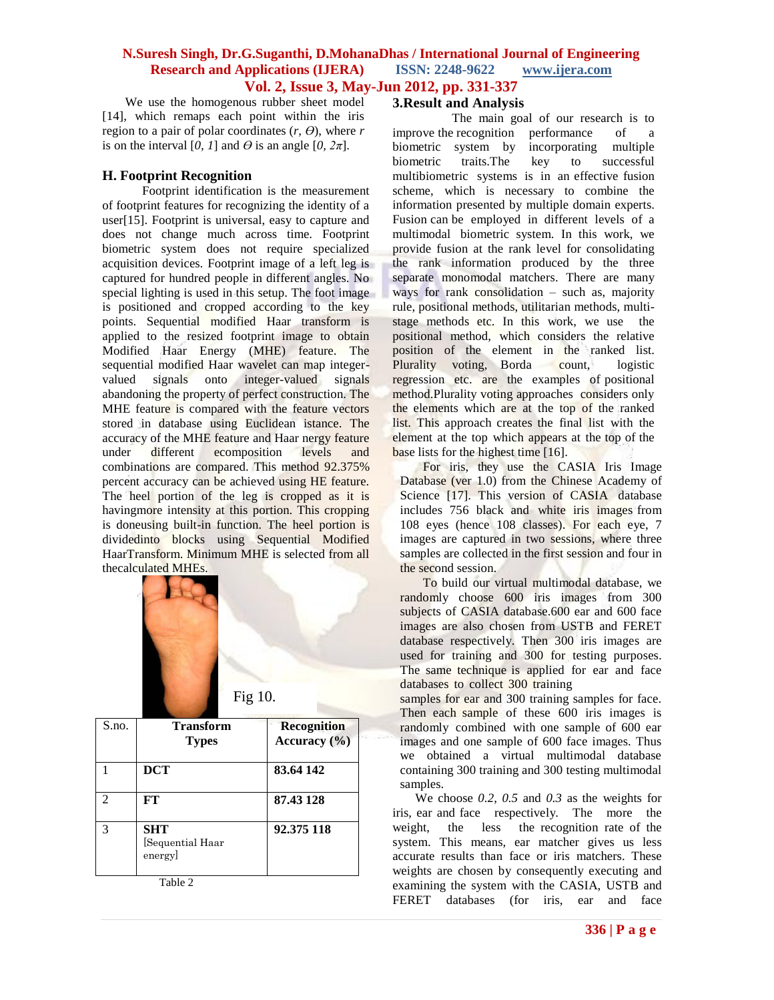We use the homogenous rubber sheet model [14], which remaps each point within the iris region to a pair of polar coordinates  $(r, \theta)$ , where  $r$ is on the interval [ $\theta$ ,  $I$ ] and  $\theta$  is an angle [ $\theta$ ,  $2\pi$ ].

## **H. Footprint Recognition**

Footprint identification is the measurement of footprint features for recognizing the identity of a user[15]. Footprint is universal, easy to capture and does not change much across time. Footprint biometric system does not require specialized acquisition devices. Footprint image of a left leg is captured for hundred people in different angles. No special lighting is used in this setup. The foot image is positioned and cropped according to the key points. Sequential modified Haar transform is applied to the resized footprint image to obtain Modified Haar Energy (MHE) feature. The sequential modified Haar wavelet can map integervalued signals onto integer-valued signals abandoning the property of perfect construction. The MHE feature is compared with the feature vectors stored in database using Euclidean istance. The accuracy of the MHE feature and Haar nergy feature under different ecomposition levels and combinations are compared. This method 92.375% percent accuracy can be achieved using HE feature. The heel portion of the leg is cropped as it is havingmore intensity at this portion. This cropping is doneusing built-in function. The heel portion is dividedinto blocks using Sequential Modified HaarTransform. Minimum MHE is selected from all thecalculated MHEs.



| S.no.                       | <b>Transform</b><br><b>Types</b>        | <b>Recognition</b><br>Accuracy $(\% )$ |
|-----------------------------|-----------------------------------------|----------------------------------------|
|                             | <b>DCT</b>                              | 83.64 142                              |
| $\mathcal{D}_{\mathcal{A}}$ | FT.                                     | 87.43 128                              |
|                             | <b>SHT</b><br>Sequential Haar<br>energy | 92.375 118                             |

Table 2

## **3.Result and Analysis**

 The main goal of our research is to improve the recognition performance of a biometric system by incorporating multiple biometric traits.The key to successful multibiometric systems is in an effective fusion scheme, which is necessary to combine the information presented by multiple domain experts. Fusion can be employed in different levels of a multimodal biometric system. In this work, we provide fusion at the rank level for consolidating the rank information produced by the three separate monomodal matchers. There are many ways for rank consolidation – such as, majority rule, positional methods, utilitarian methods, multistage methods etc. In this work, we use the positional method, which considers the relative position of the element in the ranked list. Plurality voting, Borda count, logistic regression etc. are the examples of positional method.Plurality voting approaches considers only the elements which are at the top of the ranked list. This approach creates the final list with the element at the top which appears at the top of the base lists for the highest time [16].

For iris, they use the CASIA Iris Image Database (ver 1.0) from the Chinese Academy of Science [17]. This version of CASIA database includes 756 black and white iris images from 108 eyes (hence 108 classes). For each eye, 7 images are captured in two sessions, where three samples are collected in the first session and four in the second session.

To build our virtual multimodal database, we randomly choose 600 iris images from 300 subjects of CASIA database.600 ear and 600 face images are also chosen from USTB and FERET database respectively. Then 300 iris images are used for training and 300 for testing purposes. The same technique is applied for ear and face databases to collect 300 training

samples for ear and 300 training samples for face. Then each sample of these 600 iris images is randomly combined with one sample of 600 ear images and one sample of 600 face images. Thus we obtained a virtual multimodal database containing 300 training and 300 testing multimodal samples.

We choose *0.2*, *0.5* and *0.3* as the weights for iris, ear and face respectively. The more the weight, the less the recognition rate of the system. This means, ear matcher gives us less accurate results than face or iris matchers. These weights are chosen by consequently executing and examining the system with the CASIA, USTB and FERET databases (for iris, ear and face